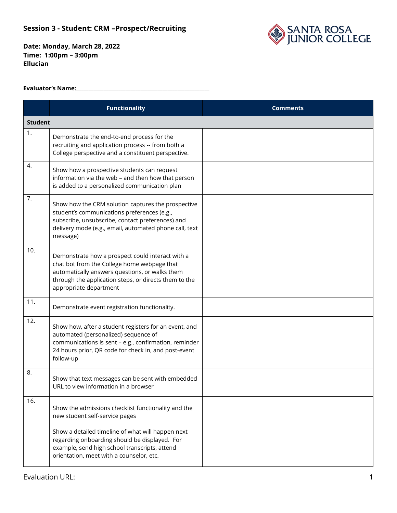

**Date: Monday, March 28, 2022 Time: 1:00pm – 3:00pm Ellucian**

### **Evaluator's Name:\_\_\_\_\_\_\_\_\_\_\_\_\_\_\_\_\_\_\_\_\_\_\_\_\_\_\_\_\_\_\_\_\_\_\_\_\_\_\_\_\_\_\_\_\_\_\_\_\_\_\_\_\_\_**

|     | <b>Functionality</b>                                                                                                                                                                                                                                                                     | <b>Comments</b> |  |
|-----|------------------------------------------------------------------------------------------------------------------------------------------------------------------------------------------------------------------------------------------------------------------------------------------|-----------------|--|
|     | <b>Student</b>                                                                                                                                                                                                                                                                           |                 |  |
| 1.  | Demonstrate the end-to-end process for the<br>recruiting and application process -- from both a<br>College perspective and a constituent perspective.                                                                                                                                    |                 |  |
| 4.  | Show how a prospective students can request<br>information via the web - and then how that person<br>is added to a personalized communication plan                                                                                                                                       |                 |  |
| 7.  | Show how the CRM solution captures the prospective<br>student's communications preferences (e.g.,<br>subscribe, unsubscribe, contact preferences) and<br>delivery mode (e.g., email, automated phone call, text<br>message)                                                              |                 |  |
| 10. | Demonstrate how a prospect could interact with a<br>chat bot from the College home webpage that<br>automatically answers questions, or walks them<br>through the application steps, or directs them to the<br>appropriate department                                                     |                 |  |
| 11. | Demonstrate event registration functionality.                                                                                                                                                                                                                                            |                 |  |
| 12. | Show how, after a student registers for an event, and<br>automated (personalized) sequence of<br>communications is sent - e.g., confirmation, reminder<br>24 hours prior, QR code for check in, and post-event<br>follow-up                                                              |                 |  |
| 8.  | Show that text messages can be sent with embedded<br>URL to view information in a browser                                                                                                                                                                                                |                 |  |
| 16. | Show the admissions checklist functionality and the<br>new student self-service pages<br>Show a detailed timeline of what will happen next<br>regarding onboarding should be displayed. For<br>example, send high school transcripts, attend<br>orientation, meet with a counselor, etc. |                 |  |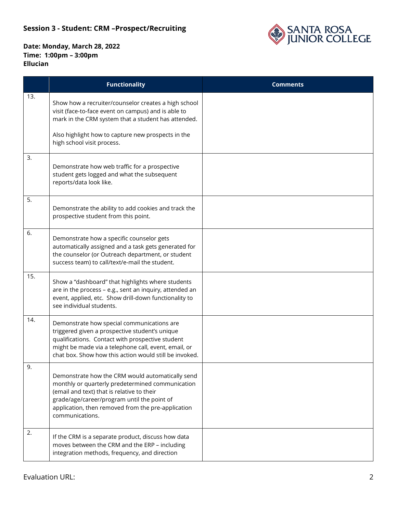

|     | <b>Functionality</b>                                                                                                                                                                                                                                                       | <b>Comments</b> |
|-----|----------------------------------------------------------------------------------------------------------------------------------------------------------------------------------------------------------------------------------------------------------------------------|-----------------|
| 13. | Show how a recruiter/counselor creates a high school<br>visit (face-to-face event on campus) and is able to<br>mark in the CRM system that a student has attended.                                                                                                         |                 |
|     | Also highlight how to capture new prospects in the<br>high school visit process.                                                                                                                                                                                           |                 |
| 3.  | Demonstrate how web traffic for a prospective<br>student gets logged and what the subsequent<br>reports/data look like.                                                                                                                                                    |                 |
| 5.  | Demonstrate the ability to add cookies and track the<br>prospective student from this point.                                                                                                                                                                               |                 |
| 6.  | Demonstrate how a specific counselor gets<br>automatically assigned and a task gets generated for<br>the counselor (or Outreach department, or student<br>success team) to call/text/e-mail the student.                                                                   |                 |
| 15. | Show a "dashboard" that highlights where students<br>are in the process - e.g., sent an inquiry, attended an<br>event, applied, etc. Show drill-down functionality to<br>see individual students.                                                                          |                 |
| 14. | Demonstrate how special communications are<br>triggered given a prospective student's unique<br>qualifications. Contact with prospective student<br>might be made via a telephone call, event, email, or<br>chat box. Show how this action would still be invoked.         |                 |
| У.  | Demonstrate how the CRM would automatically send<br>monthly or quarterly predetermined communication<br>(email and text) that is relative to their<br>grade/age/career/program until the point of<br>application, then removed from the pre-application<br>communications. |                 |
| 2.  | If the CRM is a separate product, discuss how data<br>moves between the CRM and the ERP - including<br>integration methods, frequency, and direction                                                                                                                       |                 |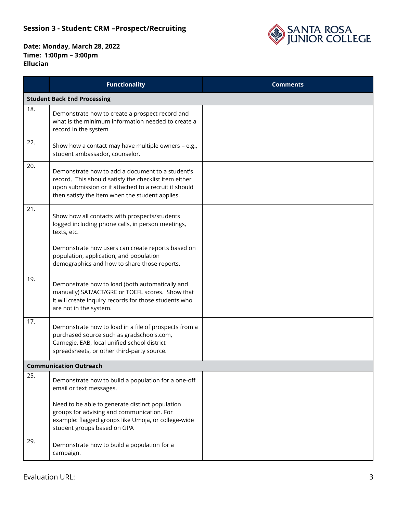

|                               | <b>Functionality</b>                                                                                                                                                                                                  | <b>Comments</b> |
|-------------------------------|-----------------------------------------------------------------------------------------------------------------------------------------------------------------------------------------------------------------------|-----------------|
|                               | <b>Student Back End Processing</b>                                                                                                                                                                                    |                 |
| 18.                           | Demonstrate how to create a prospect record and<br>what is the minimum information needed to create a<br>record in the system                                                                                         |                 |
| 22.                           | Show how a contact may have multiple owners - e.g.,<br>student ambassador, counselor.                                                                                                                                 |                 |
| 20.                           | Demonstrate how to add a document to a student's<br>record. This should satisfy the checklist item either<br>upon submission or if attached to a recruit it should<br>then satisfy the item when the student applies. |                 |
| 21.                           | Show how all contacts with prospects/students<br>logged including phone calls, in person meetings,<br>texts, etc.                                                                                                     |                 |
|                               | Demonstrate how users can create reports based on<br>population, application, and population<br>demographics and how to share those reports.                                                                          |                 |
| 19.                           | Demonstrate how to load (both automatically and<br>manually) SAT/ACT/GRE or TOEFL scores. Show that<br>it will create inquiry records for those students who<br>are not in the system.                                |                 |
| 17.                           | Demonstrate how to load in a file of prospects from a<br>purchased source such as gradschools.com,<br>Carnegie, EAB, local unified school district<br>spreadsheets, or other third-party source.                      |                 |
| <b>Communication Outreach</b> |                                                                                                                                                                                                                       |                 |
| 25.                           | Demonstrate how to build a population for a one-off<br>email or text messages.                                                                                                                                        |                 |
|                               | Need to be able to generate distinct population<br>groups for advising and communication. For<br>example: flagged groups like Umoja, or college-wide<br>student groups based on GPA                                   |                 |
| 29.                           | Demonstrate how to build a population for a<br>campaign.                                                                                                                                                              |                 |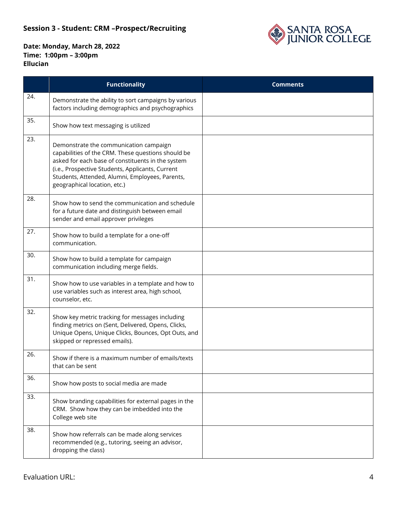

|     | <b>Functionality</b>                                                                                                                                                                                                                                                                     | <b>Comments</b> |
|-----|------------------------------------------------------------------------------------------------------------------------------------------------------------------------------------------------------------------------------------------------------------------------------------------|-----------------|
| 24. | Demonstrate the ability to sort campaigns by various<br>factors including demographics and psychographics                                                                                                                                                                                |                 |
| 35. | Show how text messaging is utilized                                                                                                                                                                                                                                                      |                 |
| 23. | Demonstrate the communication campaign<br>capabilities of the CRM. These questions should be<br>asked for each base of constituents in the system<br>(i.e., Prospective Students, Applicants, Current<br>Students, Attended, Alumni, Employees, Parents,<br>geographical location, etc.) |                 |
| 28. | Show how to send the communication and schedule<br>for a future date and distinguish between email<br>sender and email approver privileges                                                                                                                                               |                 |
| 27. | Show how to build a template for a one-off<br>communication.                                                                                                                                                                                                                             |                 |
| 30. | Show how to build a template for campaign<br>communication including merge fields.                                                                                                                                                                                                       |                 |
| 31. | Show how to use variables in a template and how to<br>use variables such as interest area, high school,<br>counselor, etc.                                                                                                                                                               |                 |
| 32. | Show key metric tracking for messages including<br>finding metrics on (Sent, Delivered, Opens, Clicks,<br>Unique Opens, Unique Clicks, Bounces, Opt Outs, and<br>skipped or repressed emails).                                                                                           |                 |
| 26. | Show if there is a maximum number of emails/texts<br>that can be sent                                                                                                                                                                                                                    |                 |
| 36. | Show how posts to social media are made                                                                                                                                                                                                                                                  |                 |
| 33. | Show branding capabilities for external pages in the<br>CRM. Show how they can be imbedded into the<br>College web site                                                                                                                                                                  |                 |
| 38. | Show how referrals can be made along services<br>recommended (e.g., tutoring, seeing an advisor,<br>dropping the class)                                                                                                                                                                  |                 |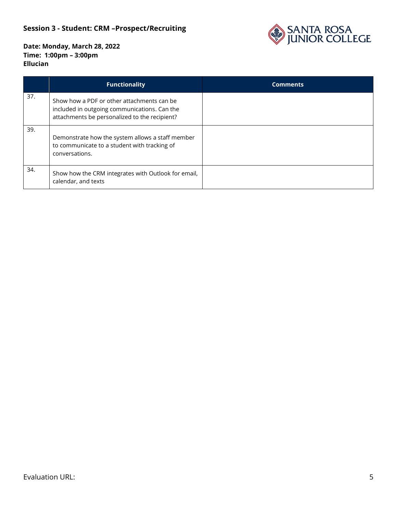

|     | <b>Functionality</b>                                                                                                                        | <b>Comments</b> |
|-----|---------------------------------------------------------------------------------------------------------------------------------------------|-----------------|
| 37. | Show how a PDF or other attachments can be<br>included in outgoing communications. Can the<br>attachments be personalized to the recipient? |                 |
| 39. | Demonstrate how the system allows a staff member<br>to communicate to a student with tracking of<br>conversations.                          |                 |
| 34. | Show how the CRM integrates with Outlook for email,<br>calendar, and texts                                                                  |                 |